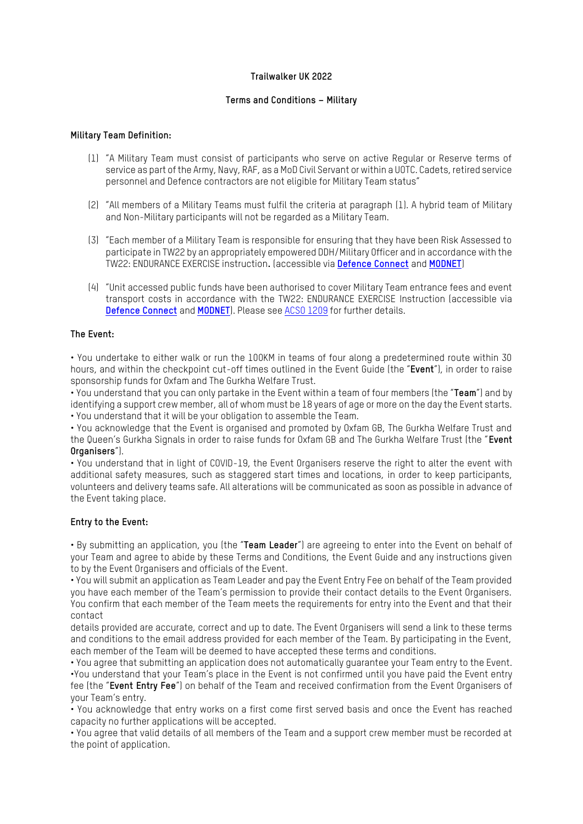## **Trailwalker UK 2022**

## **Terms and Conditions – Military**

#### **Military Team Definition:**

- (1) "A Military Team must consist of participants who serve on active Regular or Reserve terms of service as part of the Army, Navy, RAF, as a MoD Civil Servant or within a UOTC. Cadets, retired service personnel and Defence contractors are not eligible for Military Team status"
- (2) "All members of a Military Teams must fulfil the criteria at paragraph (1). A hybrid team of Military and Non-Military participants will not be regarded as a Military Team.
- (3) "Each member of a Military Team is responsible for ensuring that they have been Risk Assessed to participate in TW22 by an appropriately empowered DDH/Military Officer and in accordance with the TW22: ENDURANCE EXERCISE instruction**.** (accessible via **[Defence Connect](https://jive.defencegateway.mod.uk/docs/DOC-776438)** and **[MODNET](https://modgovuk.sharepoint.com/:w:/r/teams/300973/0311ExTrailWalker/20220610-Ex_TW22_Mil_Team_AI-TWPO.docx?d=w228c7de099054431a030dd7f79903f69&csf=1&web=1&e=D4hd9s)**)
- (4) "Unit accessed public funds have been authorised to cover Military Team entrance fees and event transport costs in accordance with the TW22: ENDURANCE EXERCISE Instruction (accessible via **[Defence Connect](https://jive.defencegateway.mod.uk/docs/DOC-776438)** and **[MODNET](https://modgovuk.sharepoint.com/:w:/r/teams/300973/0311ExTrailWalker/20220610-Ex_TW22_Mil_Team_AI-TWPO.docx?d=w228c7de099054431a030dd7f79903f69&csf=1&web=1&e=D4hd9s)**). Please see [ACSO 1209](https://modgovuk.sharepoint.com/sites/defnet/Corp/Army/Publications/ACSO_1209.pdf) for further details.

### **The Event:**

• You undertake to either walk or run the 100KM in teams of four along a predetermined route within 30 hours, and within the checkpoint cut-off times outlined in the Event Guide (the "**Event**"), in order to raise sponsorship funds for Oxfam and The Gurkha Welfare Trust.

• You understand that you can only partake in the Event within a team of four members (the "**Team**") and by identifying a support crew member, all of whom must be 18 years of age or more on the day the Event starts. • You understand that it will be your obligation to assemble the Team.

• You acknowledge that the Event is organised and promoted by Oxfam GB, The Gurkha Welfare Trust and the Queen's Gurkha Signals in order to raise funds for Oxfam GB and The Gurkha Welfare Trust (the "**Event Organisers**").

• You understand that in light of COVID-19, the Event Organisers reserve the right to alter the event with additional safety measures, such as staggered start times and locations, in order to keep participants, volunteers and delivery teams safe. All alterations will be communicated as soon as possible in advance of the Event taking place.

#### **Entry to the Event:**

• By submitting an application, you (the "**Team Leader**") are agreeing to enter into the Event on behalf of your Team and agree to abide by these Terms and Conditions, the Event Guide and any instructions given to by the Event Organisers and officials of the Event.

• You will submit an application as Team Leader and pay the Event Entry Fee on behalf of the Team provided you have each member of the Team's permission to provide their contact details to the Event Organisers. You confirm that each member of the Team meets the requirements for entry into the Event and that their contact

details provided are accurate, correct and up to date. The Event Organisers will send a link to these terms and conditions to the email address provided for each member of the Team. By participating in the Event, each member of the Team will be deemed to have accepted these terms and conditions.

• You agree that submitting an application does not automatically guarantee your Team entry to the Event. •You understand that your Team's place in the Event is not confirmed until you have paid the Event entry fee (the "**Event Entry Fee**") on behalf of the Team and received confirmation from the Event Organisers of your Team's entry.

• You acknowledge that entry works on a first come first served basis and once the Event has reached capacity no further applications will be accepted.

• You agree that valid details of all members of the Team and a support crew member must be recorded at the point of application.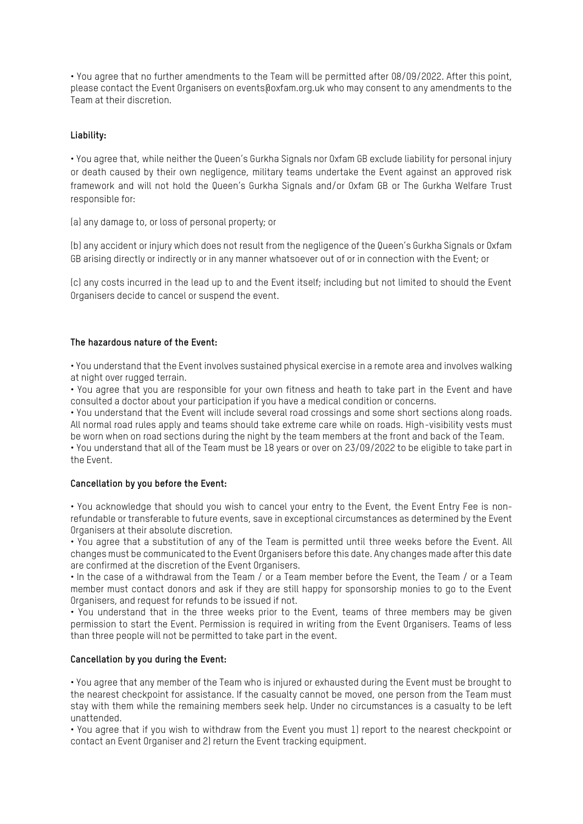• You agree that no further amendments to the Team will be permitted after 08/09/2022. After this point, please contact the Event Organisers on events@oxfam.org.uk who may consent to any amendments to the Team at their discretion.

## **Liability:**

• You agree that, while neither the Queen's Gurkha Signals nor Oxfam GB exclude liability for personal injury or death caused by their own negligence, military teams undertake the Event against an approved risk framework and will not hold the Queen's Gurkha Signals and/or Oxfam GB or The Gurkha Welfare Trust responsible for:

(a) any damage to, or loss of personal property; or

(b) any accident or injury which does not result from the negligence of the Queen's Gurkha Signals or Oxfam GB arising directly or indirectly or in any manner whatsoever out of or in connection with the Event; or

(c) any costs incurred in the lead up to and the Event itself; including but not limited to should the Event Organisers decide to cancel or suspend the event.

# **The hazardous nature of the Event:**

• You understand that the Event involves sustained physical exercise in a remote area and involves walking at night over rugged terrain.

• You agree that you are responsible for your own fitness and heath to take part in the Event and have consulted a doctor about your participation if you have a medical condition or concerns.

• You understand that the Event will include several road crossings and some short sections along roads. All normal road rules apply and teams should take extreme care while on roads. High-visibility vests must be worn when on road sections during the night by the team members at the front and back of the Team.

• You understand that all of the Team must be 18 years or over on 23/09/2022 to be eligible to take part in the Event.

## **Cancellation by you before the Event:**

• You acknowledge that should you wish to cancel your entry to the Event, the Event Entry Fee is nonrefundable or transferable to future events, save in exceptional circumstances as determined by the Event Organisers at their absolute discretion.

• You agree that a substitution of any of the Team is permitted until three weeks before the Event. All changes must be communicated to the Event Organisers before this date. Any changes made after this date are confirmed at the discretion of the Event Organisers.

• In the case of a withdrawal from the Team / or a Team member before the Event, the Team / or a Team member must contact donors and ask if they are still happy for sponsorship monies to go to the Event Organisers, and request for refunds to be issued if not.

• You understand that in the three weeks prior to the Event, teams of three members may be given permission to start the Event. Permission is required in writing from the Event Organisers. Teams of less than three people will not be permitted to take part in the event.

## **Cancellation by you during the Event:**

• You agree that any member of the Team who is injured or exhausted during the Event must be brought to the nearest checkpoint for assistance. If the casualty cannot be moved, one person from the Team must stay with them while the remaining members seek help. Under no circumstances is a casualty to be left unattended.

• You agree that if you wish to withdraw from the Event you must 1) report to the nearest checkpoint or contact an Event Organiser and 2) return the Event tracking equipment.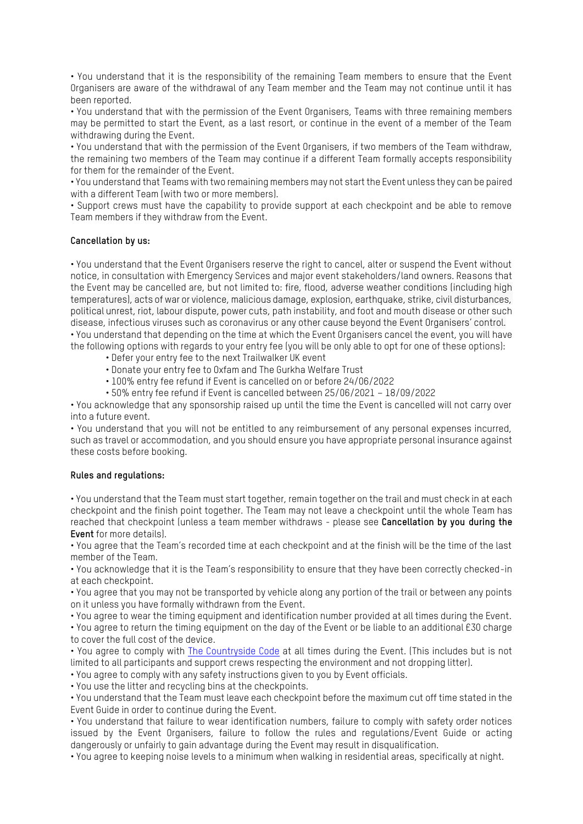• You understand that it is the responsibility of the remaining Team members to ensure that the Event Organisers are aware of the withdrawal of any Team member and the Team may not continue until it has been reported.

• You understand that with the permission of the Event Organisers, Teams with three remaining members may be permitted to start the Event, as a last resort, or continue in the event of a member of the Team withdrawing during the Event.

• You understand that with the permission of the Event Organisers, if two members of the Team withdraw, the remaining two members of the Team may continue if a different Team formally accepts responsibility for them for the remainder of the Event.

• You understand that Teams with two remaining members may not start the Event unless they can be paired with a different Team (with two or more members).

• Support crews must have the capability to provide support at each checkpoint and be able to remove Team members if they withdraw from the Event.

### **Cancellation by us:**

• You understand that the Event Organisers reserve the right to cancel, alter or suspend the Event without notice, in consultation with Emergency Services and major event stakeholders/land owners. Reasons that the Event may be cancelled are, but not limited to: fire, flood, adverse weather conditions (including high temperatures), acts of war or violence, malicious damage, explosion, earthquake, strike, civil disturbances, political unrest, riot, labour dispute, power cuts, path instability, and foot and mouth disease or other such disease, infectious viruses such as coronavirus or any other cause beyond the Event Organisers' control. • You understand that depending on the time at which the Event Organisers cancel the event, you will have the following options with regards to your entry fee (you will be only able to opt for one of these options):

- Defer your entry fee to the next Trailwalker UK event
- Donate your entry fee to Oxfam and The Gurkha Welfare Trust
- 100% entry fee refund if Event is cancelled on or before 24/06/2022
- 50% entry fee refund if Event is cancelled between 25/06/2021 18/09/2022

• You acknowledge that any sponsorship raised up until the time the Event is cancelled will not carry over into a future event.

• You understand that you will not be entitled to any reimbursement of any personal expenses incurred, such as travel or accommodation, and you should ensure you have appropriate personal insurance against these costs before booking.

#### **Rules and regulations:**

• You understand that the Team must start together, remain together on the trail and must check in at each checkpoint and the finish point together. The Team may not leave a checkpoint until the whole Team has reached that checkpoint (unless a team member withdraws - please see **Cancellation by you during the Event** for more details).

• You agree that the Team's recorded time at each checkpoint and at the finish will be the time of the last member of the Team.

• You acknowledge that it is the Team's responsibility to ensure that they have been correctly checked-in at each checkpoint.

• You agree that you may not be transported by vehicle along any portion of the trail or between any points on it unless you have formally withdrawn from the Event.

• You agree to wear the timing equipment and identification number provided at all times during the Event.

• You agree to return the timing equipment on the day of the Event or be liable to an additional £30 charge to cover the full cost of the device.

• You agree to comply with [The Countryside Code](https://www.gov.uk/government/publications/the-countryside-code/the-countryside-code) at all times during the Event. (This includes but is not limited to all participants and support crews respecting the environment and not dropping litter).

• You agree to comply with any safety instructions given to you by Event officials.

• You use the litter and recycling bins at the checkpoints.

• You understand that the Team must leave each checkpoint before the maximum cut off time stated in the Event Guide in order to continue during the Event.

• You understand that failure to wear identification numbers, failure to comply with safety order notices issued by the Event Organisers, failure to follow the rules and regulations/Event Guide or acting dangerously or unfairly to gain advantage during the Event may result in disqualification.

• You agree to keeping noise levels to a minimum when walking in residential areas, specifically at night.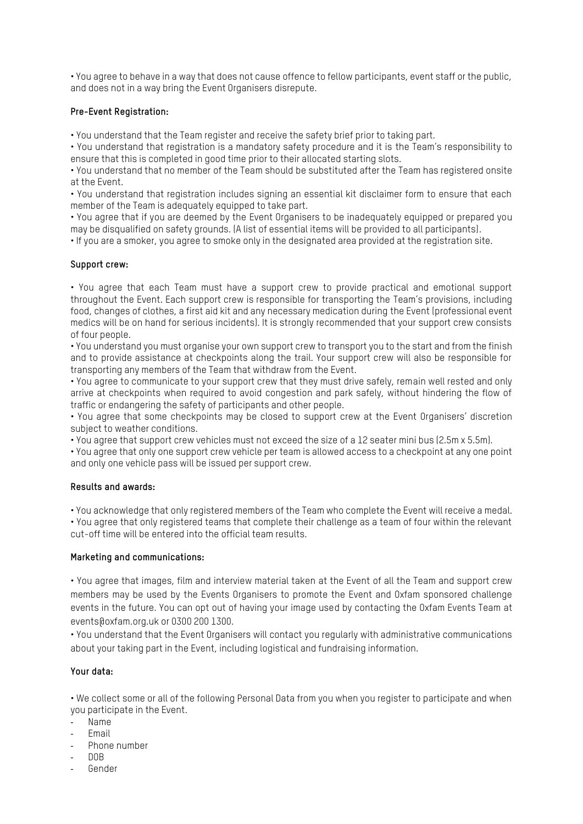• You agree to behave in a way that does not cause offence to fellow participants, event staff or the public, and does not in a way bring the Event Organisers disrepute.

### **Pre-Event Registration:**

• You understand that the Team register and receive the safety brief prior to taking part.

• You understand that registration is a mandatory safety procedure and it is the Team's responsibility to ensure that this is completed in good time prior to their allocated starting slots.

• You understand that no member of the Team should be substituted after the Team has registered onsite at the Event.

• You understand that registration includes signing an essential kit disclaimer form to ensure that each member of the Team is adequately equipped to take part.

• You agree that if you are deemed by the Event Organisers to be inadequately equipped or prepared you may be disqualified on safety grounds. (A list of essential items will be provided to all participants).

• If you are a smoker, you agree to smoke only in the designated area provided at the registration site.

### **Support crew:**

• You agree that each Team must have a support crew to provide practical and emotional support throughout the Event. Each support crew is responsible for transporting the Team's provisions, including food, changes of clothes, a first aid kit and any necessary medication during the Event (professional event medics will be on hand for serious incidents). It is strongly recommended that your support crew consists of four people.

• You understand you must organise your own support crew to transport you to the start and from the finish and to provide assistance at checkpoints along the trail. Your support crew will also be responsible for transporting any members of the Team that withdraw from the Event.

• You agree to communicate to your support crew that they must drive safely, remain well rested and only arrive at checkpoints when required to avoid congestion and park safely, without hindering the flow of traffic or endangering the safety of participants and other people.

• You agree that some checkpoints may be closed to support crew at the Event Organisers' discretion subject to weather conditions.

• You agree that support crew vehicles must not exceed the size of a 12 seater mini bus (2.5m x 5.5m).

• You agree that only one support crew vehicle per team is allowed access to a checkpoint at any one point and only one vehicle pass will be issued per support crew.

### **Results and awards:**

• You acknowledge that only registered members of the Team who complete the Event will receive a medal. • You agree that only registered teams that complete their challenge as a team of four within the relevant cut-off time will be entered into the official team results.

#### **Marketing and communications:**

• You agree that images, film and interview material taken at the Event of all the Team and support crew members may be used by the Events Organisers to promote the Event and Oxfam sponsored challenge events in the future. You can opt out of having your image used by contacting the Oxfam Events Team at events@oxfam.org.uk or 0300 200 1300.

• You understand that the Event Organisers will contact you regularly with administrative communications about your taking part in the Event, including logistical and fundraising information.

## **Your data:**

• We collect some or all of the following Personal Data from you when you register to participate and when you participate in the Event.

- Name
- **Email**
- Phone number
- DOB
- Gender